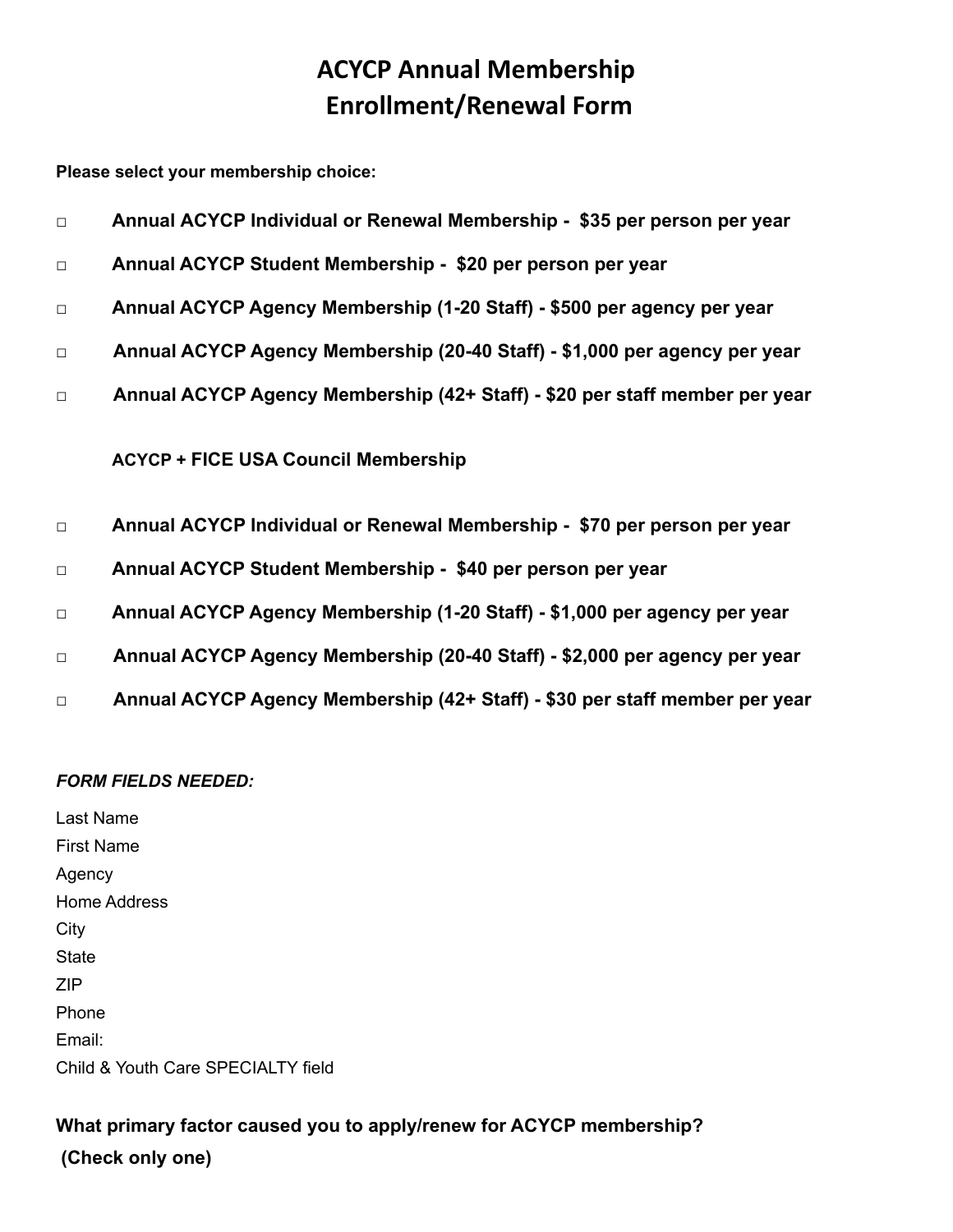## **ACYCP Annual Membership Enrollment/Renewal Form**

**Please select your membership choice:** 

| $\Box$ | Annual ACYCP Individual or Renewal Membership - \$35 per person per year    |
|--------|-----------------------------------------------------------------------------|
| $\Box$ | Annual ACYCP Student Membership - \$20 per person per year                  |
| $\Box$ | Annual ACYCP Agency Membership (1-20 Staff) - \$500 per agency per year     |
| $\Box$ | Annual ACYCP Agency Membership (20-40 Staff) - \$1,000 per agency per year  |
| $\Box$ | Annual ACYCP Agency Membership (42+ Staff) - \$20 per staff member per year |
|        | <b>ACYCP + FICE USA Council Membership</b>                                  |
| $\Box$ | Annual ACYCP Individual or Renewal Membership - \$70 per person per year    |
| $\Box$ | Annual ACYCP Student Membership - \$40 per person per year                  |
| $\Box$ | Annual ACYCP Agency Membership (1-20 Staff) - \$1,000 per agency per year   |
| $\Box$ | Annual ACYCP Agency Membership (20-40 Staff) - \$2,000 per agency per year  |
| $\Box$ | Annual ACYCP Agency Membership (42+ Staff) - \$30 per staff member per year |

## *FORM FIELDS NEEDED:*

Last Name First Name Agency Home Address **City** State ZIP Phone Email: Child & Youth Care SPECIALTY field

## **What primary factor caused you to apply/renew for ACYCP membership? (Check only one)**